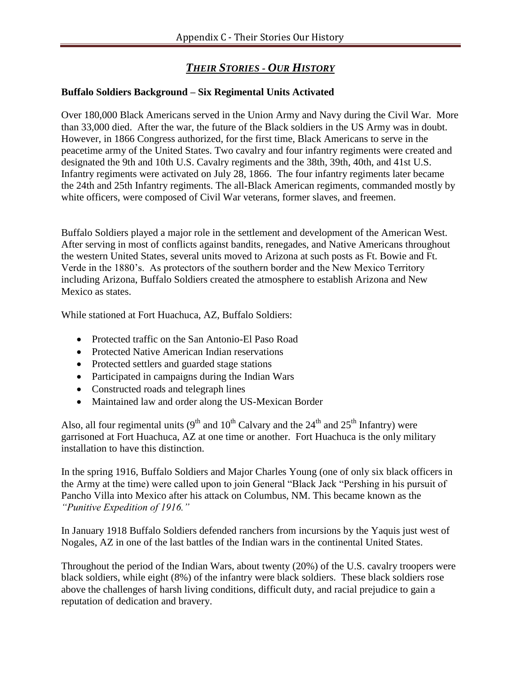# *THEIR STORIES - OUR HISTORY*

### **Buffalo Soldiers Background – Six Regimental Units Activated**

Over 180,000 Black Americans served in the Union Army and Navy during the Civil War. More than 33,000 died. After the war, the future of the Black soldiers in the US Army was in doubt. However, in 1866 Congress authorized, for the first time, Black Americans to serve in the peacetime army of the United States. Two cavalry and four infantry regiments were created and designated the 9th and 10th U.S. Cavalry regiments and the 38th, 39th, 40th, and 41st U.S. Infantry regiments were activated on July 28, 1866. The four infantry regiments later became the 24th and 25th Infantry regiments. The all-Black American regiments, commanded mostly by white officers, were composed of Civil War veterans, former slaves, and freemen.

Buffalo Soldiers played a major role in the settlement and development of the American West. After serving in most of conflicts against bandits, renegades, and Native Americans throughout the western United States, several units moved to Arizona at such posts as Ft. Bowie and Ft. Verde in the 1880's. As protectors of the southern border and the New Mexico Territory including Arizona, Buffalo Soldiers created the atmosphere to establish Arizona and New Mexico as states.

While stationed at Fort Huachuca, AZ, Buffalo Soldiers:

- Protected traffic on the San Antonio-El Paso Road
- Protected Native American Indian reservations
- Protected settlers and guarded stage stations
- Participated in campaigns during the Indian Wars
- Constructed roads and telegraph lines
- Maintained law and order along the US-Mexican Border

Also, all four regimental units ( $9<sup>th</sup>$  and  $10<sup>th</sup>$  Calvary and the  $24<sup>th</sup>$  and  $25<sup>th</sup>$  Infantry) were garrisoned at Fort Huachuca, AZ at one time or another. Fort Huachuca is the only military installation to have this distinction.

In the spring 1916, Buffalo Soldiers and Major Charles Young (one of only six black officers in the Army at the time) were called upon to join General "Black Jack "Pershing in his pursuit of Pancho Villa into Mexico after his attack on Columbus, NM. This became known as the *"Punitive Expedition of 1916."*

In January 1918 Buffalo Soldiers defended ranchers from incursions by the Yaquis just west of Nogales, AZ in one of the last battles of the Indian wars in the continental United States.

Throughout the period of the Indian Wars, about twenty (20%) of the U.S. cavalry troopers were black soldiers, while eight (8%) of the infantry were black soldiers. These black soldiers rose above the challenges of harsh living conditions, difficult duty, and racial prejudice to gain a reputation of dedication and bravery.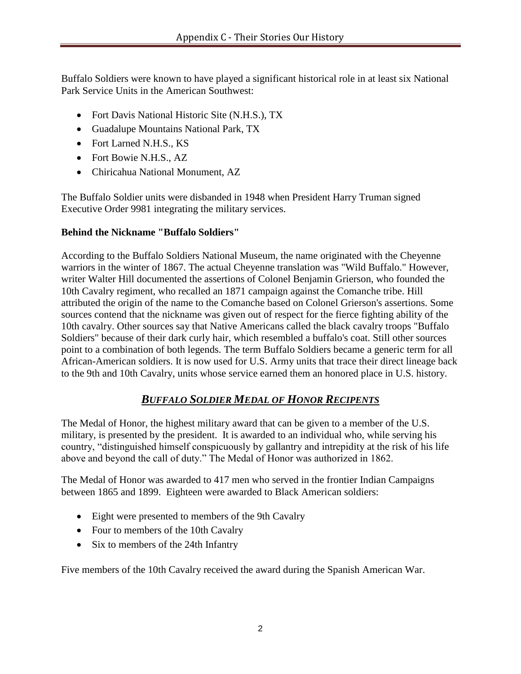Buffalo Soldiers were known to have played a significant historical role in at least six National Park Service Units in the American Southwest:

- Fort Davis National Historic Site (N.H.S.), TX
- Guadalupe Mountains National Park, TX
- Fort Larned N.H.S., KS
- Fort Bowie N.H.S., AZ
- Chiricahua National Monument, AZ

The Buffalo Soldier units were disbanded in 1948 when President Harry Truman signed Executive Order 9981 integrating the military services.

#### **Behind the Nickname "Buffalo Soldiers"**

According to the Buffalo Soldiers National Museum, the name originated with the Cheyenne warriors in the winter of 1867. The actual Cheyenne translation was "Wild Buffalo." However, writer Walter Hill documented the assertions of Colonel Benjamin Grierson, who founded the 10th Cavalry regiment, who recalled an 1871 campaign against the Comanche tribe. Hill attributed the origin of the name to the Comanche based on Colonel Grierson's assertions. Some sources contend that the nickname was given out of respect for the fierce fighting ability of the 10th cavalry. Other sources say that Native Americans called the black cavalry troops "Buffalo Soldiers" because of their dark curly hair, which resembled a buffalo's coat. Still other sources point to a combination of both legends. The term Buffalo Soldiers became a generic term for all African-American soldiers. It is now used for U.S. Army units that trace their direct lineage back to the 9th and 10th Cavalry, units whose service earned them an honored place in U.S. history.

## *BUFFALO SOLDIER MEDAL OF HONOR RECIPENTS*

The Medal of Honor, the highest military award that can be given to a member of the U.S. military, is presented by the president. It is awarded to an individual who, while serving his country, "distinguished himself conspicuously by gallantry and intrepidity at the risk of his life above and beyond the call of duty." The Medal of Honor was authorized in 1862.

The Medal of Honor was awarded to 417 men who served in the frontier Indian Campaigns between 1865 and 1899. Eighteen were awarded to Black American soldiers:

- Eight were presented to members of the 9th Cavalry
- Four to members of the 10th Cavalry
- Six to members of the 24th Infantry

Five members of the 10th Cavalry received the award during the Spanish American War.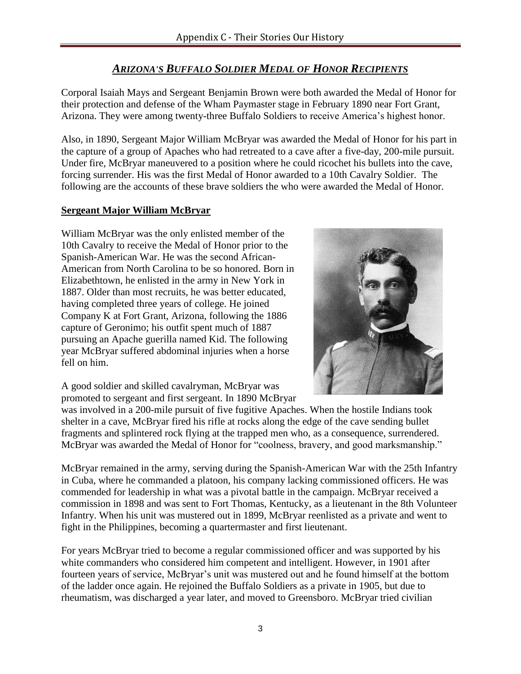## *ARIZONA'S BUFFALO SOLDIER MEDAL OF HONOR RECIPIENTS*

Corporal Isaiah Mays and Sergeant Benjamin Brown were both awarded the Medal of Honor for their protection and defense of the Wham Paymaster stage in February 1890 near Fort Grant, Arizona. They were among twenty-three Buffalo Soldiers to receive America's highest honor.

Also, in 1890, Sergeant Major William McBryar was awarded the Medal of Honor for his part in the capture of a group of Apaches who had retreated to a cave after a five-day, 200-mile pursuit. Under fire, McBryar maneuvered to a position where he could ricochet his bullets into the cave, forcing surrender. His was the first Medal of Honor awarded to a 10th Cavalry Soldier. The following are the accounts of these brave soldiers the who were awarded the Medal of Honor.

## **Sergeant Major William McBryar**

William McBryar was the only enlisted member of the 10th Cavalry to receive the Medal of Honor prior to the Spanish-American War. He was the second African-American from North Carolina to be so honored. Born in Elizabethtown, he enlisted in the army in New York in 1887. Older than most recruits, he was better educated, having completed three years of college. He joined Company K at Fort Grant, Arizona, following the 1886 capture of Geronimo; his outfit spent much of 1887 pursuing an Apache guerilla named Kid. The following year McBryar suffered abdominal injuries when a horse fell on him.



A good soldier and skilled cavalryman, McBryar was promoted to sergeant and first sergeant. In 1890 McBryar

was involved in a 200-mile pursuit of five fugitive Apaches. When the hostile Indians took shelter in a cave, McBryar fired his rifle at rocks along the edge of the cave sending bullet fragments and splintered rock flying at the trapped men who, as a consequence, surrendered. McBryar was awarded the Medal of Honor for "coolness, bravery, and good marksmanship."

McBryar remained in the army, serving during the Spanish-American War with the 25th Infantry in Cuba, where he commanded a platoon, his company lacking commissioned officers. He was commended for leadership in what was a pivotal battle in the campaign. McBryar received a commission in 1898 and was sent to Fort Thomas, Kentucky, as a lieutenant in the 8th Volunteer Infantry. When his unit was mustered out in 1899, McBryar reenlisted as a private and went to fight in the Philippines, becoming a quartermaster and first lieutenant.

For years McBryar tried to become a regular commissioned officer and was supported by his white commanders who considered him competent and intelligent. However, in 1901 after fourteen years of service, McBryar's unit was mustered out and he found himself at the bottom of the ladder once again. He rejoined the Buffalo Soldiers as a private in 1905, but due to rheumatism, was discharged a year later, and moved to Greensboro. McBryar tried civilian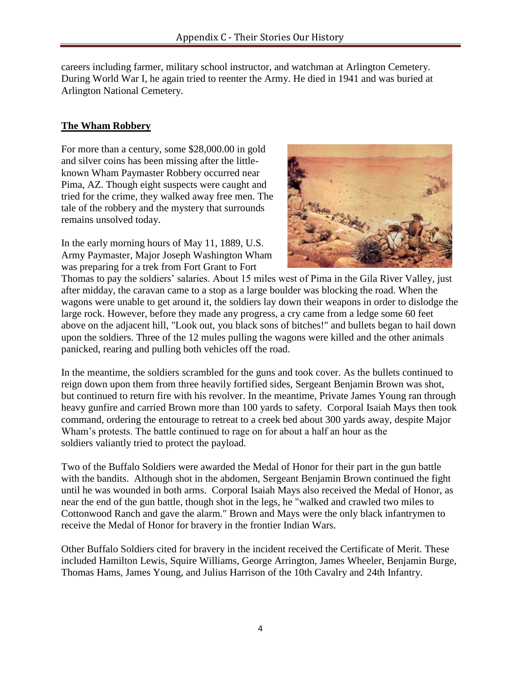careers including farmer, military school instructor, and watchman at Arlington Cemetery. During World War I, he again tried to reenter the Army. He died in 1941 and was buried at Arlington National Cemetery.

### **The Wham Robbery**

For more than a century, some \$28,000.00 in gold and silver coins has been missing after the littleknown Wham Paymaster Robbery occurred near Pima, AZ. Though eight suspects were caught and tried for the crime, they walked away free men. The tale of the robbery and the mystery that surrounds remains unsolved today.

In the early morning hours of May 11, 1889, U.S. Army Paymaster, Major Joseph Washington Wham was preparing for a trek from Fort Grant to Fort



Thomas to pay the soldiers' salaries. About 15 miles west of Pima in the Gila River Valley, just after midday, the caravan came to a stop as a large boulder was blocking the road. When the wagons were unable to get around it, the soldiers lay down their weapons in order to dislodge the large rock. However, before they made any progress, a cry came from a ledge some 60 feet above on the adjacent hill, "Look out, you black sons of bitches!" and bullets began to hail down upon the soldiers. Three of the 12 mules pulling the wagons were killed and the other animals panicked, rearing and pulling both vehicles off the road.

In the meantime, the soldiers scrambled for the guns and took cover. As the bullets continued to reign down upon them from three heavily fortified sides, Sergeant Benjamin Brown was shot, but continued to return fire with his revolver. In the meantime, Private James Young ran through heavy gunfire and carried Brown more than 100 yards to safety. Corporal Isaiah Mays then took command, ordering the entourage to retreat to a creek bed about 300 yards away, despite Major Wham's protests. The battle continued to rage on for about a half an hour as the soldiers valiantly tried to protect the payload.

Two of the Buffalo Soldiers were awarded the Medal of Honor for their part in the gun battle with the bandits. Although shot in the abdomen, Sergeant Benjamin Brown continued the fight until he was wounded in both arms. Corporal Isaiah Mays also received the Medal of Honor, as near the end of the gun battle, though shot in the legs, he "walked and crawled two miles to Cottonwood Ranch and gave the alarm." Brown and Mays were the only black infantrymen to receive the Medal of Honor for bravery in the frontier Indian Wars.

Other Buffalo Soldiers cited for bravery in the incident received the Certificate of Merit. These included Hamilton Lewis, Squire Williams, George Arrington, James Wheeler, Benjamin Burge, Thomas Hams, James Young, and Julius Harrison of the 10th Cavalry and 24th Infantry.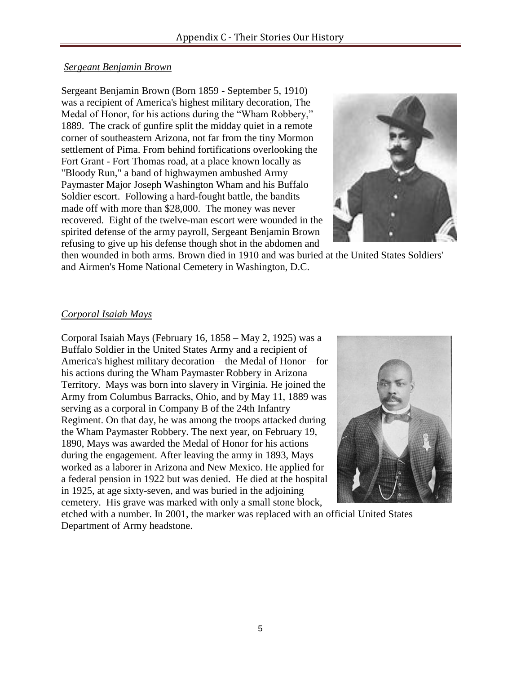#### *Sergeant Benjamin Brown*

Sergeant Benjamin Brown (Born 1859 - September 5, 1910) was a recipient of America's highest military decoration, The Medal of Honor, for his actions during the "Wham Robbery," 1889. The crack of gunfire split the midday quiet in a remote corner of southeastern Arizona, not far from the tiny Mormon settlement of Pima. From behind fortifications overlooking the Fort Grant - Fort Thomas road, at a place known locally as "Bloody Run," a band of highwaymen ambushed Army Paymaster Major Joseph Washington Wham and his Buffalo Soldier escort. Following a hard-fought battle, the bandits made off with more than \$28,000. The money was never recovered. Eight of the twelve-man escort were wounded in the spirited defense of the army payroll, Sergeant Benjamin Brown refusing to give up his defense though shot in the abdomen and



then wounded in both arms. Brown died in 1910 and was buried at the United States Soldiers' and Airmen's Home National Cemetery in Washington, D.C.

## *Corporal Isaiah Mays*

Corporal Isaiah Mays (February 16, 1858 – May 2, 1925) was a Buffalo Soldier in the United States Army and a recipient of America's highest military decoration—the Medal of Honor—for his actions during the Wham Paymaster Robbery in Arizona Territory. Mays was born into slavery in Virginia. He joined the Army from Columbus Barracks, Ohio, and by May 11, 1889 was serving as a corporal in Company B of the 24th Infantry Regiment. On that day, he was among the troops attacked during the Wham Paymaster Robbery. The next year, on February 19, 1890, Mays was awarded the Medal of Honor for his actions during the engagement. After leaving the army in 1893, Mays worked as a laborer in Arizona and New Mexico. He applied for a federal pension in 1922 but was denied. He died at the hospital in 1925, at age sixty-seven, and was buried in the adjoining cemetery. His grave was marked with only a small stone block,



etched with a number. In 2001, the marker was replaced with an official United States Department of Army headstone.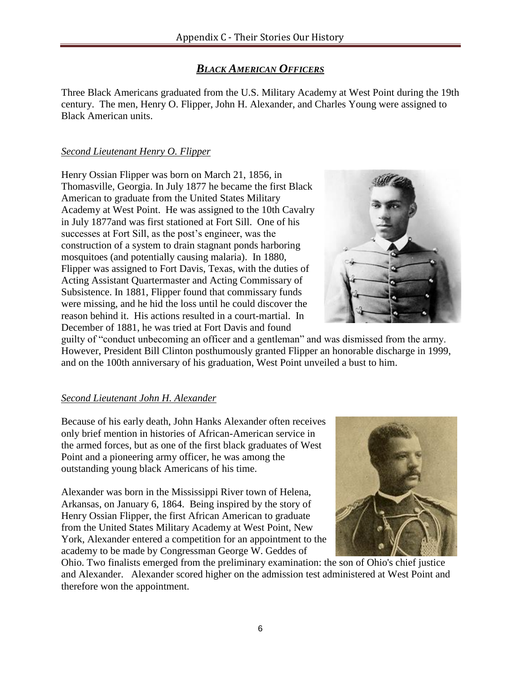## *BLACK AMERICAN OFFICERS*

Three Black Americans graduated from the U.S. Military Academy at West Point during the 19th century. The men, Henry O. Flipper, John H. Alexander, and Charles Young were assigned to Black American units.

## *Second Lieutenant Henry O. Flipper*

Henry Ossian Flipper was born on March 21, 1856, in Thomasville, Georgia. In July 1877 he became the first Black American to graduate from the United States Military Academy at West Point. He was assigned to the 10th Cavalry in July 1877and was first stationed at Fort Sill. One of his successes at Fort Sill, as the post's engineer, was the construction of a system to drain stagnant ponds harboring mosquitoes (and potentially causing malaria). In 1880, Flipper was assigned to Fort Davis, Texas, with the duties of Acting Assistant Quartermaster and Acting Commissary of Subsistence. In 1881, Flipper found that commissary funds were missing, and he hid the loss until he could discover the reason behind it. His actions resulted in a court-martial. In December of 1881, he was tried at Fort Davis and found



guilty of "conduct unbecoming an officer and a gentleman" and was dismissed from the army. However, President Bill Clinton posthumously granted Flipper an honorable discharge in 1999, and on the 100th anniversary of his graduation, West Point unveiled a bust to him.

## *Second Lieutenant John H. Alexander*

Because of his early death, John Hanks Alexander often receives only brief mention in histories of African-American service in the armed forces, but as one of the first black graduates of West Point and a pioneering army officer, he was among the outstanding young black Americans of his time.

Alexander was born in the Mississippi River town of Helena, Arkansas, on January 6, 1864. Being inspired by the story of Henry Ossian Flipper, the first African American to graduate from the United States Military Academy at West Point, New York, Alexander entered a competition for an appointment to the academy to be made by Congressman George W. Geddes of



Ohio. Two finalists emerged from the preliminary examination: the son of Ohio's chief justice and Alexander. Alexander scored higher on the admission test administered at West Point and therefore won the appointment.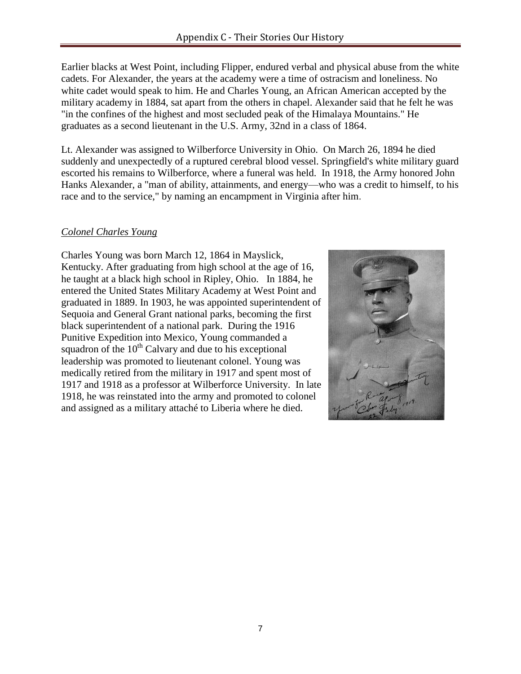Earlier blacks at West Point, including Flipper, endured verbal and physical abuse from the white cadets. For Alexander, the years at the academy were a time of ostracism and loneliness. No white cadet would speak to him. He and Charles Young, an African American accepted by the military academy in 1884, sat apart from the others in chapel. Alexander said that he felt he was "in the confines of the highest and most secluded peak of the Himalaya Mountains." He graduates as a second lieutenant in the U.S. Army, 32nd in a class of 1864.

Lt. Alexander was assigned to Wilberforce University in Ohio. On March 26, 1894 he died suddenly and unexpectedly of a ruptured cerebral blood vessel. Springfield's white military guard escorted his remains to Wilberforce, where a funeral was held. In 1918, the Army honored John Hanks Alexander, a "man of ability, attainments, and energy—who was a credit to himself, to his race and to the service," by naming an encampment in Virginia after him.

### *Colonel Charles Young*

Charles Young was born March 12, 1864 in Mayslick, Kentucky. After graduating from high school at the age of 16, he taught at a black high school in Ripley, Ohio. In 1884, he entered the United States Military Academy at West Point and graduated in 1889. In 1903, he was appointed superintendent of Sequoia and General Grant national parks, becoming the first black superintendent of a national park. During the 1916 Punitive Expedition into Mexico, Young commanded a squadron of the  $10<sup>th</sup>$  Calvary and due to his exceptional leadership was promoted to lieutenant colonel. Young was medically retired from the military in 1917 and spent most of 1917 and 1918 as a professor at Wilberforce University. In late 1918, he was reinstated into the army and promoted to colonel and assigned as a military attaché to Liberia where he died.